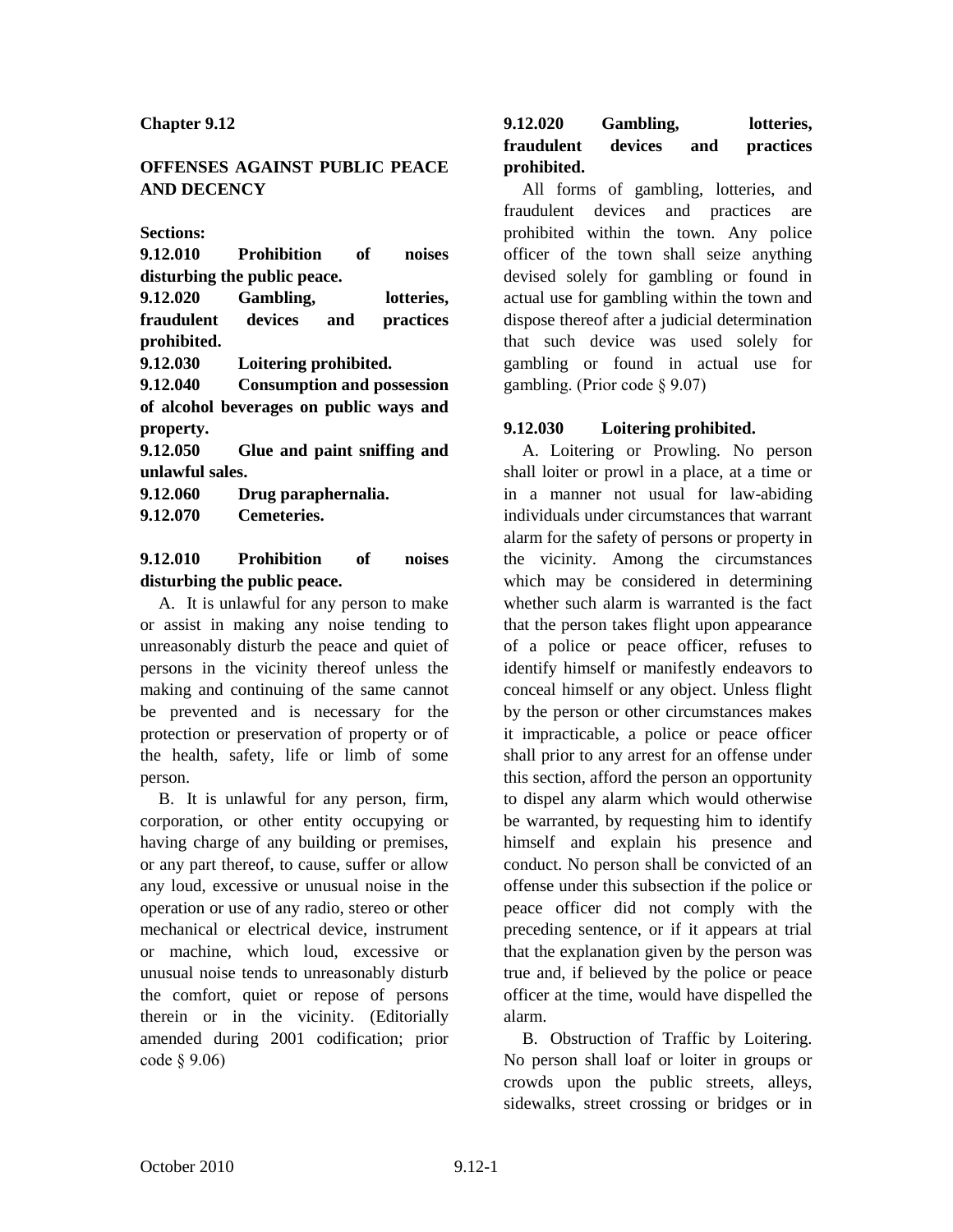#### **Chapter 9.12**

#### **OFFENSES AGAINST PUBLIC PEACE AND DECENCY**

**Sections:**

**9.12.010 Prohibition of noises disturbing the public peace.**

**9.12.020 Gambling, lotteries, fraudulent devices and practices prohibited.**

**9.12.030 Loitering prohibited.**

**9.12.040 Consumption and possession of alcohol beverages on public ways and property.**

**9.12.050 Glue and paint sniffing and unlawful sales.**

**9.12.060 Drug paraphernalia.**

**9.12.070 Cemeteries.**

### **9.12.010 Prohibition of noises disturbing the public peace.**

A. It is unlawful for any person to make or assist in making any noise tending to unreasonably disturb the peace and quiet of persons in the vicinity thereof unless the making and continuing of the same cannot be prevented and is necessary for the protection or preservation of property or of the health, safety, life or limb of some person.

B. It is unlawful for any person, firm, corporation, or other entity occupying or having charge of any building or premises, or any part thereof, to cause, suffer or allow any loud, excessive or unusual noise in the operation or use of any radio, stereo or other mechanical or electrical device, instrument or machine, which loud, excessive or unusual noise tends to unreasonably disturb the comfort, quiet or repose of persons therein or in the vicinity. (Editorially amended during 2001 codification; prior code § 9.06)

## **9.12.020 Gambling, lotteries, fraudulent devices and practices prohibited.**

All forms of gambling, lotteries, and fraudulent devices and practices are prohibited within the town. Any police officer of the town shall seize anything devised solely for gambling or found in actual use for gambling within the town and dispose thereof after a judicial determination that such device was used solely for gambling or found in actual use for gambling. (Prior code § 9.07)

#### **9.12.030 Loitering prohibited.**

A. Loitering or Prowling. No person shall loiter or prowl in a place, at a time or in a manner not usual for law-abiding individuals under circumstances that warrant alarm for the safety of persons or property in the vicinity. Among the circumstances which may be considered in determining whether such alarm is warranted is the fact that the person takes flight upon appearance of a police or peace officer, refuses to identify himself or manifestly endeavors to conceal himself or any object. Unless flight by the person or other circumstances makes it impracticable, a police or peace officer shall prior to any arrest for an offense under this section, afford the person an opportunity to dispel any alarm which would otherwise be warranted, by requesting him to identify himself and explain his presence and conduct. No person shall be convicted of an offense under this subsection if the police or peace officer did not comply with the preceding sentence, or if it appears at trial that the explanation given by the person was true and, if believed by the police or peace officer at the time, would have dispelled the alarm.

B. Obstruction of Traffic by Loitering. No person shall loaf or loiter in groups or crowds upon the public streets, alleys, sidewalks, street crossing or bridges or in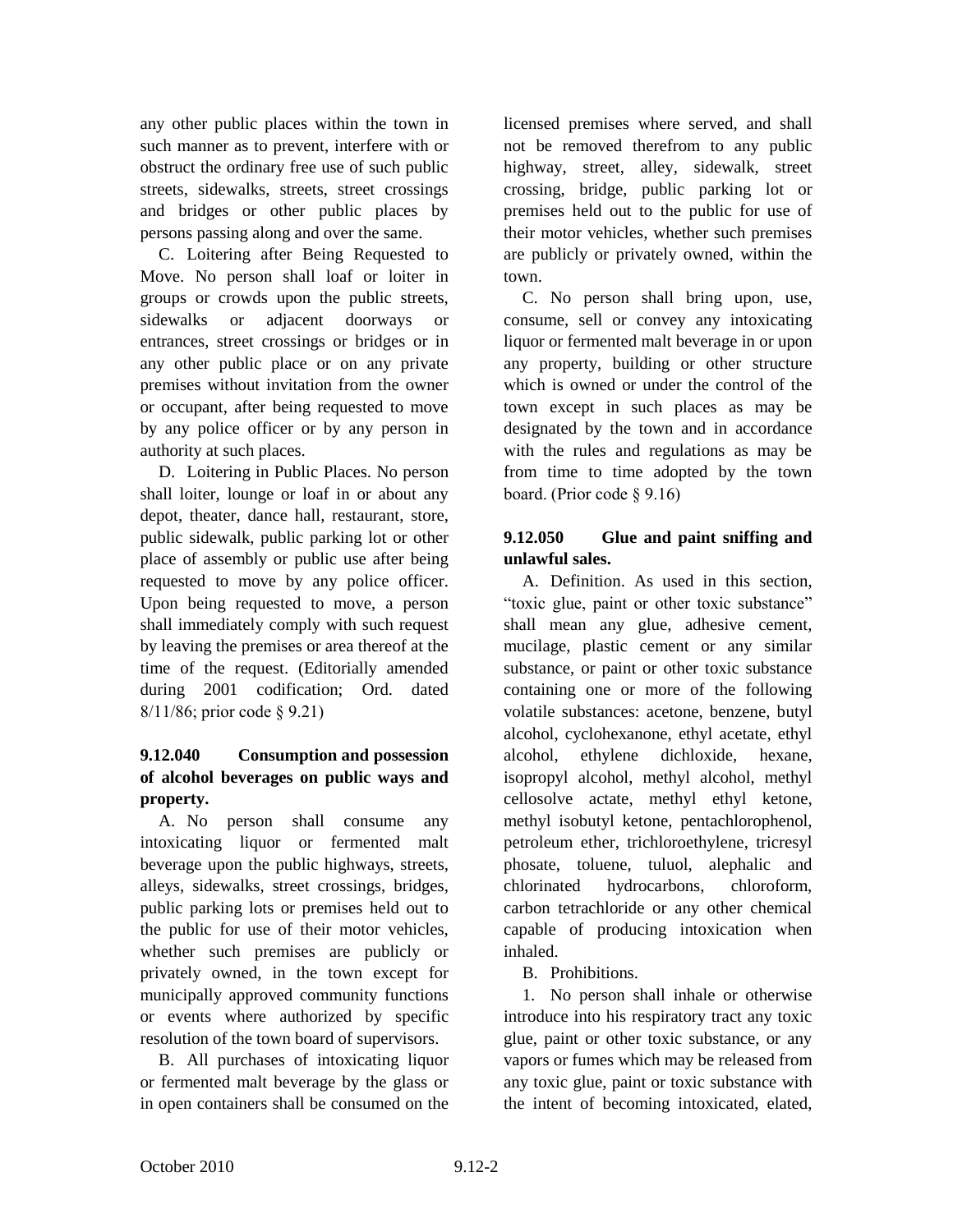any other public places within the town in such manner as to prevent, interfere with or obstruct the ordinary free use of such public streets, sidewalks, streets, street crossings and bridges or other public places by persons passing along and over the same.

C. Loitering after Being Requested to Move. No person shall loaf or loiter in groups or crowds upon the public streets, sidewalks or adjacent doorways or entrances, street crossings or bridges or in any other public place or on any private premises without invitation from the owner or occupant, after being requested to move by any police officer or by any person in authority at such places.

D. Loitering in Public Places. No person shall loiter, lounge or loaf in or about any depot, theater, dance hall, restaurant, store, public sidewalk, public parking lot or other place of assembly or public use after being requested to move by any police officer. Upon being requested to move, a person shall immediately comply with such request by leaving the premises or area thereof at the time of the request. (Editorially amended during 2001 codification; Ord. dated 8/11/86; prior code § 9.21)

# **9.12.040 Consumption and possession of alcohol beverages on public ways and property.**

A. No person shall consume any intoxicating liquor or fermented malt beverage upon the public highways, streets, alleys, sidewalks, street crossings, bridges, public parking lots or premises held out to the public for use of their motor vehicles, whether such premises are publicly or privately owned, in the town except for municipally approved community functions or events where authorized by specific resolution of the town board of supervisors.

B. All purchases of intoxicating liquor or fermented malt beverage by the glass or in open containers shall be consumed on the

licensed premises where served, and shall not be removed therefrom to any public highway, street, alley, sidewalk, street crossing, bridge, public parking lot or premises held out to the public for use of their motor vehicles, whether such premises are publicly or privately owned, within the town.

C. No person shall bring upon, use, consume, sell or convey any intoxicating liquor or fermented malt beverage in or upon any property, building or other structure which is owned or under the control of the town except in such places as may be designated by the town and in accordance with the rules and regulations as may be from time to time adopted by the town board. (Prior code § 9.16)

## **9.12.050 Glue and paint sniffing and unlawful sales.**

A. Definition. As used in this section, "toxic glue, paint or other toxic substance" shall mean any glue, adhesive cement, mucilage, plastic cement or any similar substance, or paint or other toxic substance containing one or more of the following volatile substances: acetone, benzene, butyl alcohol, cyclohexanone, ethyl acetate, ethyl alcohol, ethylene dichloxide, hexane, isopropyl alcohol, methyl alcohol, methyl cellosolve actate, methyl ethyl ketone, methyl isobutyl ketone, pentachlorophenol, petroleum ether, trichloroethylene, tricresyl phosate, toluene, tuluol, alephalic and chlorinated hydrocarbons, chloroform, carbon tetrachloride or any other chemical capable of producing intoxication when inhaled.

B. Prohibitions.

1. No person shall inhale or otherwise introduce into his respiratory tract any toxic glue, paint or other toxic substance, or any vapors or fumes which may be released from any toxic glue, paint or toxic substance with the intent of becoming intoxicated, elated,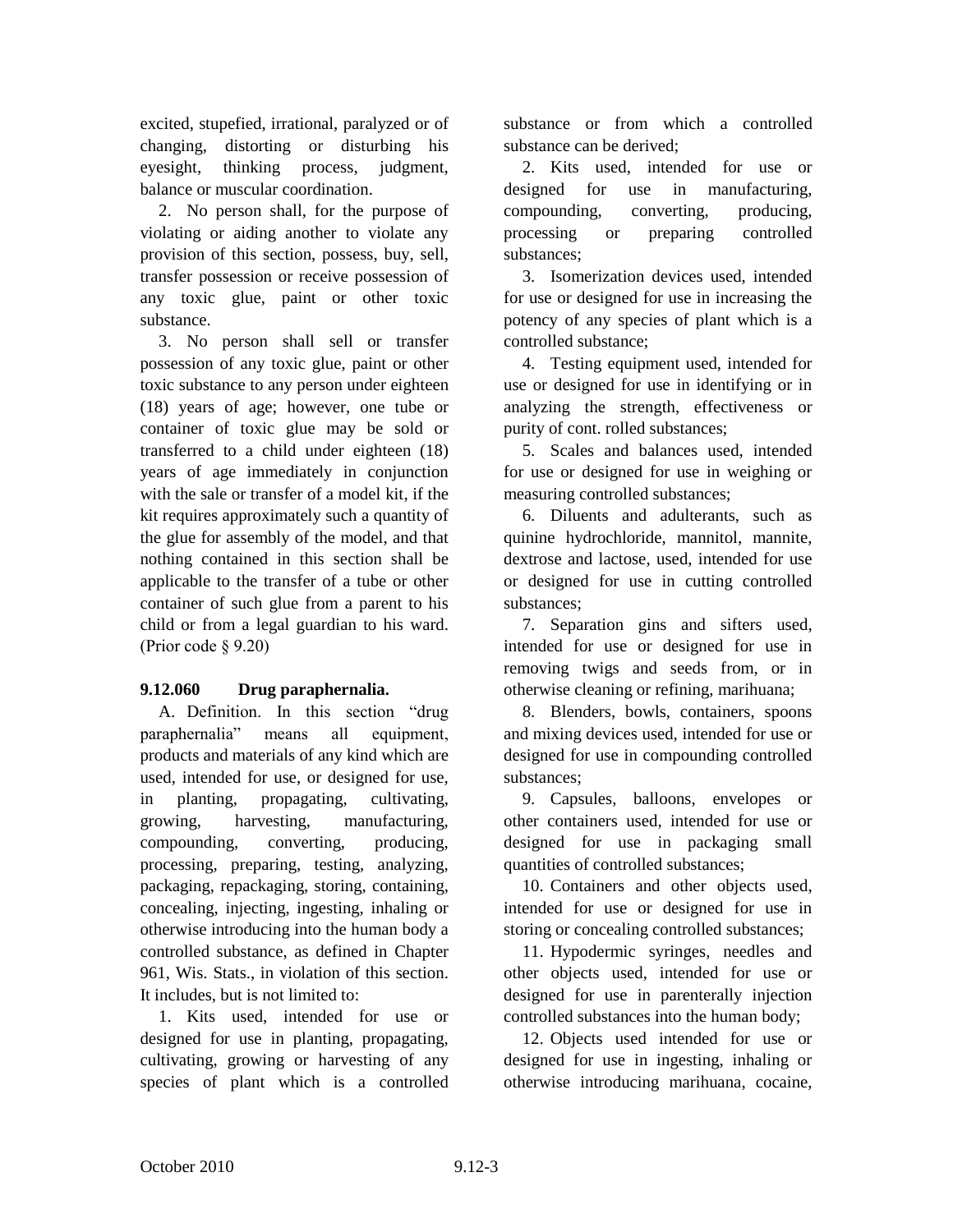excited, stupefied, irrational, paralyzed or of changing, distorting or disturbing his eyesight, thinking process, judgment, balance or muscular coordination.

2. No person shall, for the purpose of violating or aiding another to violate any provision of this section, possess, buy, sell, transfer possession or receive possession of any toxic glue, paint or other toxic substance.

3. No person shall sell or transfer possession of any toxic glue, paint or other toxic substance to any person under eighteen (18) years of age; however, one tube or container of toxic glue may be sold or transferred to a child under eighteen (18) years of age immediately in conjunction with the sale or transfer of a model kit, if the kit requires approximately such a quantity of the glue for assembly of the model, and that nothing contained in this section shall be applicable to the transfer of a tube or other container of such glue from a parent to his child or from a legal guardian to his ward. (Prior code § 9.20)

#### **9.12.060 Drug paraphernalia.**

A. Definition. In this section "drug paraphernalia" means all equipment, products and materials of any kind which are used, intended for use, or designed for use, in planting, propagating, cultivating, growing, harvesting, manufacturing, compounding, converting, producing, processing, preparing, testing, analyzing, packaging, repackaging, storing, containing, concealing, injecting, ingesting, inhaling or otherwise introducing into the human body a controlled substance, as defined in Chapter 961, Wis. Stats., in violation of this section. It includes, but is not limited to:

1. Kits used, intended for use or designed for use in planting, propagating, cultivating, growing or harvesting of any species of plant which is a controlled

substance or from which a controlled substance can be derived;

2. Kits used, intended for use or designed for use in manufacturing, compounding, converting, producing, processing or preparing controlled substances;

3. Isomerization devices used, intended for use or designed for use in increasing the potency of any species of plant which is a controlled substance;

4. Testing equipment used, intended for use or designed for use in identifying or in analyzing the strength, effectiveness or purity of cont. rolled substances;

5. Scales and balances used, intended for use or designed for use in weighing or measuring controlled substances;

6. Diluents and adulterants, such as quinine hydrochloride, mannitol, mannite, dextrose and lactose, used, intended for use or designed for use in cutting controlled substances;

7. Separation gins and sifters used, intended for use or designed for use in removing twigs and seeds from, or in otherwise cleaning or refining, marihuana;

8. Blenders, bowls, containers, spoons and mixing devices used, intended for use or designed for use in compounding controlled substances;

9. Capsules, balloons, envelopes or other containers used, intended for use or designed for use in packaging small quantities of controlled substances;

10. Containers and other objects used, intended for use or designed for use in storing or concealing controlled substances;

11. Hypodermic syringes, needles and other objects used, intended for use or designed for use in parenterally injection controlled substances into the human body;

12. Objects used intended for use or designed for use in ingesting, inhaling or otherwise introducing marihuana, cocaine,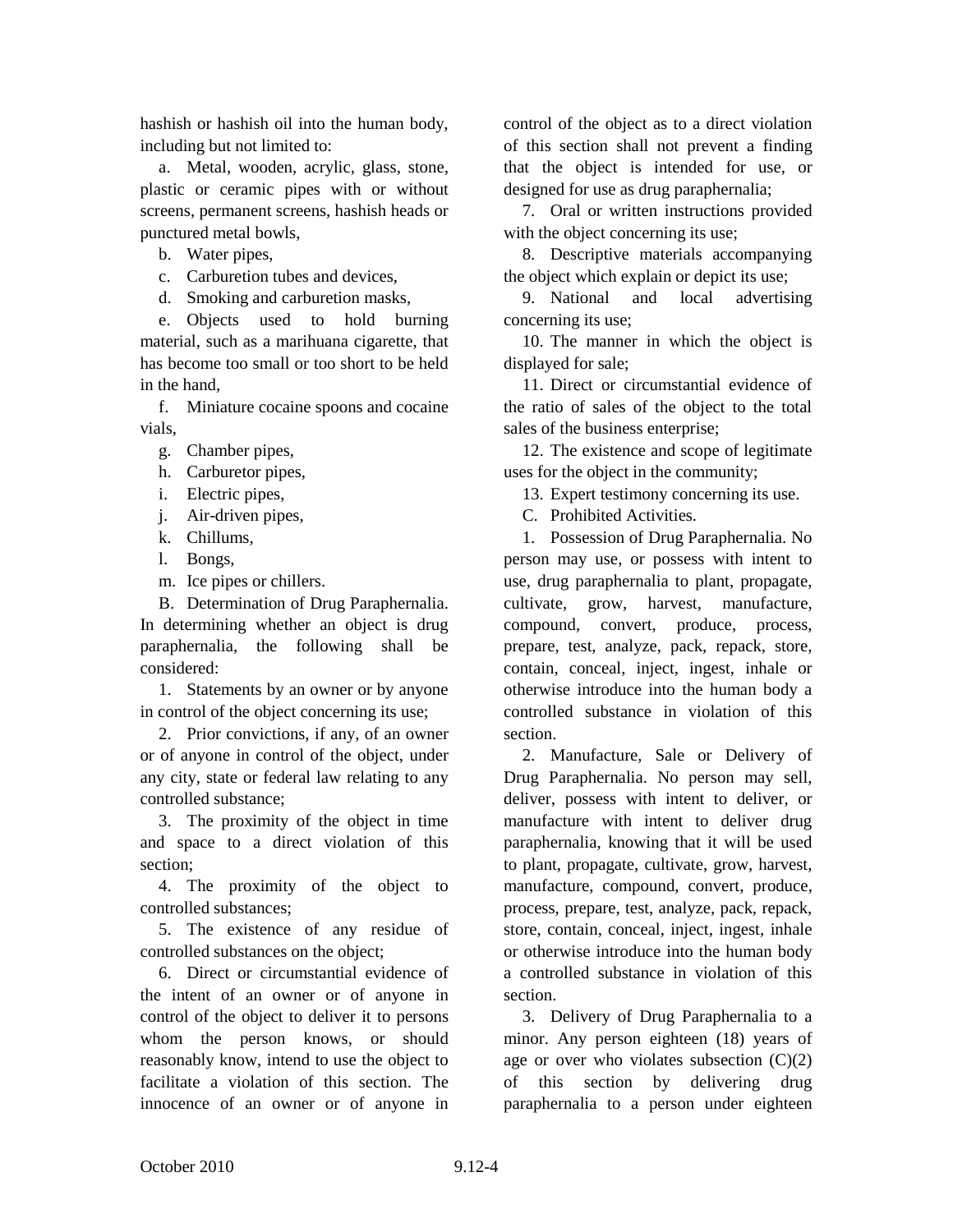hashish or hashish oil into the human body, including but not limited to:

a. Metal, wooden, acrylic, glass, stone, plastic or ceramic pipes with or without screens, permanent screens, hashish heads or punctured metal bowls,

b. Water pipes,

c. Carburetion tubes and devices,

d. Smoking and carburetion masks,

e. Objects used to hold burning material, such as a marihuana cigarette, that has become too small or too short to be held in the hand,

f. Miniature cocaine spoons and cocaine vials,

- g. Chamber pipes,
- h. Carburetor pipes,
- i. Electric pipes,
- j. Air-driven pipes,
- k. Chillums,
- l. Bongs,
- m. Ice pipes or chillers.

B. Determination of Drug Paraphernalia. In determining whether an object is drug paraphernalia, the following shall be considered:

1. Statements by an owner or by anyone in control of the object concerning its use;

2. Prior convictions, if any, of an owner or of anyone in control of the object, under any city, state or federal law relating to any controlled substance;

3. The proximity of the object in time and space to a direct violation of this section;

4. The proximity of the object to controlled substances;

5. The existence of any residue of controlled substances on the object;

6. Direct or circumstantial evidence of the intent of an owner or of anyone in control of the object to deliver it to persons whom the person knows, or should reasonably know, intend to use the object to facilitate a violation of this section. The innocence of an owner or of anyone in

control of the object as to a direct violation of this section shall not prevent a finding that the object is intended for use, or designed for use as drug paraphernalia;

7. Oral or written instructions provided with the object concerning its use;

8. Descriptive materials accompanying the object which explain or depict its use;

9. National and local advertising concerning its use;

10. The manner in which the object is displayed for sale;

11. Direct or circumstantial evidence of the ratio of sales of the object to the total sales of the business enterprise;

12. The existence and scope of legitimate uses for the object in the community;

13. Expert testimony concerning its use.

C. Prohibited Activities.

1. Possession of Drug Paraphernalia. No person may use, or possess with intent to use, drug paraphernalia to plant, propagate, cultivate, grow, harvest, manufacture, compound, convert, produce, process, prepare, test, analyze, pack, repack, store, contain, conceal, inject, ingest, inhale or otherwise introduce into the human body a controlled substance in violation of this section.

2. Manufacture, Sale or Delivery of Drug Paraphernalia. No person may sell, deliver, possess with intent to deliver, or manufacture with intent to deliver drug paraphernalia, knowing that it will be used to plant, propagate, cultivate, grow, harvest, manufacture, compound, convert, produce, process, prepare, test, analyze, pack, repack, store, contain, conceal, inject, ingest, inhale or otherwise introduce into the human body a controlled substance in violation of this section.

3. Delivery of Drug Paraphernalia to a minor. Any person eighteen (18) years of age or over who violates subsection  $(C)(2)$ of this section by delivering drug paraphernalia to a person under eighteen